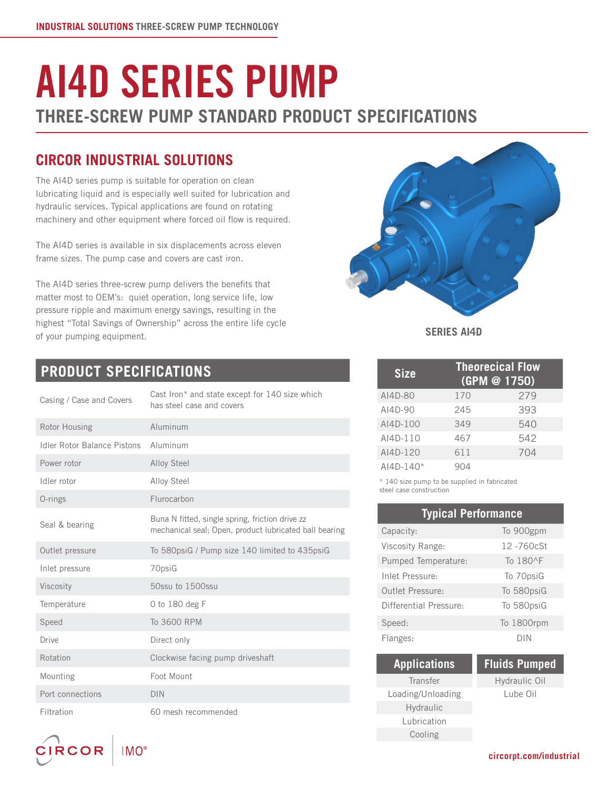# AI4D SERIES PUMP **THREE-SCREW PUMP STANDARD PRODUCT SPECIFICATIONS**

## **CIRCOR INDUSTRIAL SOLUTIONS**

The AI4D series pump is suitable for operation on clean lubricating liquid and is especially well suited for lubrication and hydraulic services. Typical applications are found on rotating machinery and other equipment where forced oil flow is required.

The AI4D series is available in six displacements across eleven frame sizes. The pump case and covers are cast iron.

The AI4D series three-screw pump delivers the benefits that matter most to OEM's: quiet operation, long service life, low pressure ripple and maximum energy savings, resulting in the highest "Total Savings of Ownership" across the entire life cycle of your pumping equipment.



#### **SERIES AI4D**

| <b>Size</b>      |     | <b>Theorecical Flow</b><br>(GPM @ 1750) |
|------------------|-----|-----------------------------------------|
| AI4D-80          | 170 | 279                                     |
| $A$ $14D-90$     | 245 | 393                                     |
| AI4D-100         | 349 | 540                                     |
| AI4D-110         | 467 | 542                                     |
| AI4D-120         | 611 | 704                                     |
| $A$ $14D - 140*$ |     |                                         |

\* 140 size pump to be supplied in fabricated steel case construction

| <b>Typical Performance</b> |            |
|----------------------------|------------|
| Capacity:                  | To 900gpm  |
| Viscosity Range:           | 12-760cSt  |
| Pumped Temperature:        | To 180^F   |
| Inlet Pressure:            | To 70psiG  |
| Outlet Pressure:           | To 580psiG |
| Differential Pressure:     | To 580psiG |
| Speed:                     | To 1800rpm |
| Flanges:                   | DIN        |

| <b>Applications</b> |  |
|---------------------|--|
| Transfer            |  |
| Loading/Unloading   |  |
| Hydraulic           |  |
| Lubrication         |  |
| Cooling             |  |

#### **Fluids Pumped** Hydraulic Oil

Lube Oil

## **PRODUCT SPECIFICATIONS**

| Casing / Case and Covers    | Cast Iron* and state except for 140 size which<br>has steel case and covers                               |
|-----------------------------|-----------------------------------------------------------------------------------------------------------|
| Rotor Housing               | Aluminum                                                                                                  |
| Idler Rotor Balance Pistons | Aluminum                                                                                                  |
| Power rotor                 | Alloy Steel                                                                                               |
| Idler rotor                 | Alloy Steel                                                                                               |
| O-rings                     | Flurocarbon                                                                                               |
| Seal & bearing              | Buna N fitted, single spring, friction drive zz<br>mechanical seal; Open, product lubricated ball bearing |
| Outlet pressure             | To 580psiG / Pump size 140 limited to 435psiG                                                             |
| Inlet pressure              | 70psiG                                                                                                    |
| Viscosity                   | 50ssu to 1500ssu                                                                                          |
| Temperature                 | 0 to 180 deg F                                                                                            |
| Speed                       | To 3600 RPM                                                                                               |
| <b>Drive</b>                | Direct only                                                                                               |
| Rotation                    | Clockwise facing pump driveshaft                                                                          |
| Mounting                    | Foot Mount                                                                                                |
| Port connections            | <b>DIN</b>                                                                                                |
| Filtration                  | 60 mesh recommended                                                                                       |